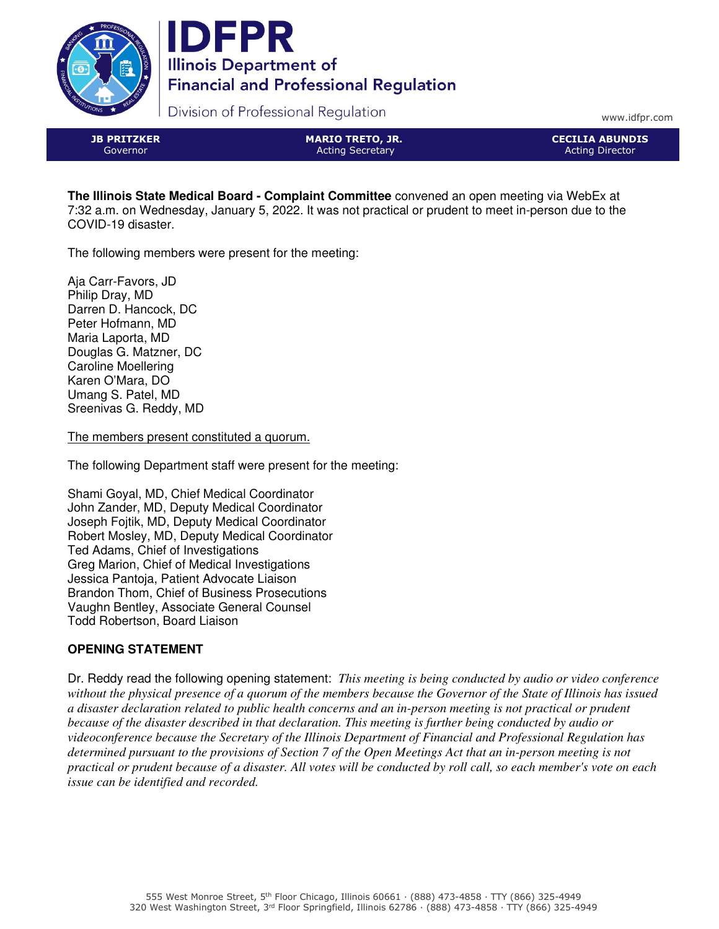



Division of Professional Regulation

www.idfpr.com

JB PRITZKER Governor

MARIO TRETO, JR. Acting Secretary

CECILIA ABUNDIS Acting Director

**The Illinois State Medical Board - Complaint Committee** convened an open meeting via WebEx at 7:32 a.m. on Wednesday, January 5, 2022. It was not practical or prudent to meet in-person due to the COVID-19 disaster.

The following members were present for the meeting:

Aja Carr-Favors, JD Philip Dray, MD Darren D. Hancock, DC Peter Hofmann, MD Maria Laporta, MD Douglas G. Matzner, DC Caroline Moellering Karen O'Mara, DO Umang S. Patel, MD Sreenivas G. Reddy, MD

The members present constituted a quorum.

The following Department staff were present for the meeting:

Shami Goyal, MD, Chief Medical Coordinator John Zander, MD, Deputy Medical Coordinator Joseph Fojtik, MD, Deputy Medical Coordinator Robert Mosley, MD, Deputy Medical Coordinator Ted Adams, Chief of Investigations Greg Marion, Chief of Medical Investigations Jessica Pantoja, Patient Advocate Liaison Brandon Thom, Chief of Business Prosecutions Vaughn Bentley, Associate General Counsel Todd Robertson, Board Liaison

# **OPENING STATEMENT**

Dr. Reddy read the following opening statement: *This meeting is being conducted by audio or video conference without the physical presence of a quorum of the members because the Governor of the State of Illinois has issued a disaster declaration related to public health concerns and an in-person meeting is not practical or prudent because of the disaster described in that declaration. This meeting is further being conducted by audio or videoconference because the Secretary of the Illinois Department of Financial and Professional Regulation has determined pursuant to the provisions of Section 7 of the Open Meetings Act that an in-person meeting is not practical or prudent because of a disaster. All votes will be conducted by roll call, so each member's vote on each issue can be identified and recorded.*